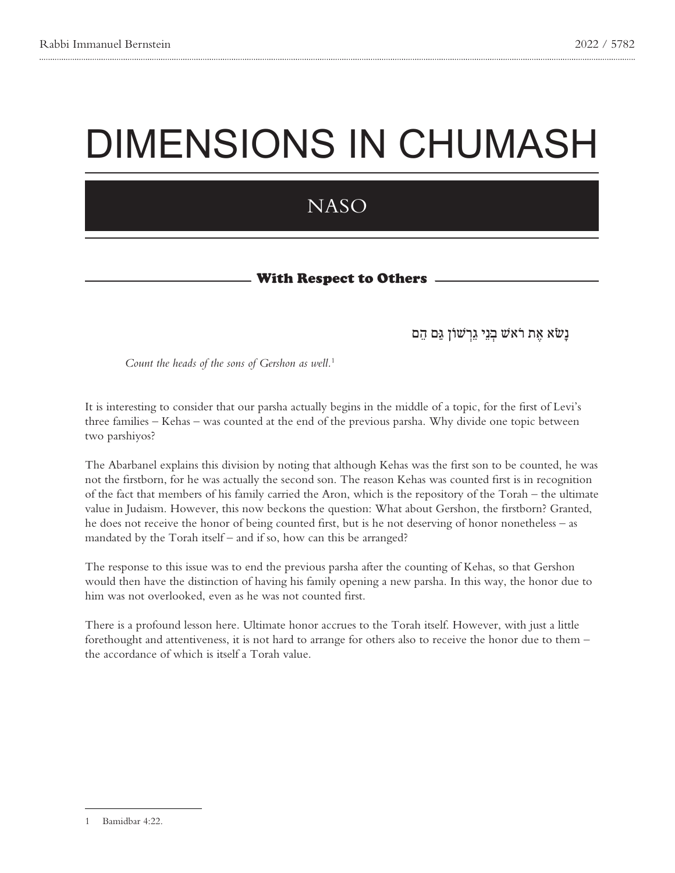# DIMENSIONS IN CHUMASH

## **NASO**

### With Respect to Others -

### נַשׂא אֶת רֹא<sup>ָ</sup>שׁ בְּנֵי גֵרְשׁוֹן גַּם הֶם

*Count the heads of the sons of Gershon as well.<sup>1</sup>* 

It is interesting to consider that our parsha actually begins in the middle of a topic, for the first of Levi's three families – Kehas – was counted at the end of the previous parsha. Why divide one topic between two parshiyos?

The Abarbanel explains this division by noting that although Kehas was the first son to be counted, he was not the firstborn, for he was actually the second son. The reason Kehas was counted first is in recognition of the fact that members of his family carried the Aron, which is the repository of the Torah – the ultimate value in Judaism. However, this now beckons the question: What about Gershon, the firstborn? Granted, he does not receive the honor of being counted first, but is he not deserving of honor nonetheless – as mandated by the Torah itself – and if so, how can this be arranged?

The response to this issue was to end the previous parsha after the counting of Kehas, so that Gershon would then have the distinction of having his family opening a new parsha. In this way, the honor due to him was not overlooked, even as he was not counted first.

There is a profound lesson here. Ultimate honor accrues to the Torah itself. However, with just a little fore thought and attentiveness, it is not hard to arrange for others also to receive the honor due to them  $$ the accordance of which is itself a Torah value.

<sup>1</sup> Bamidbar 4:22.